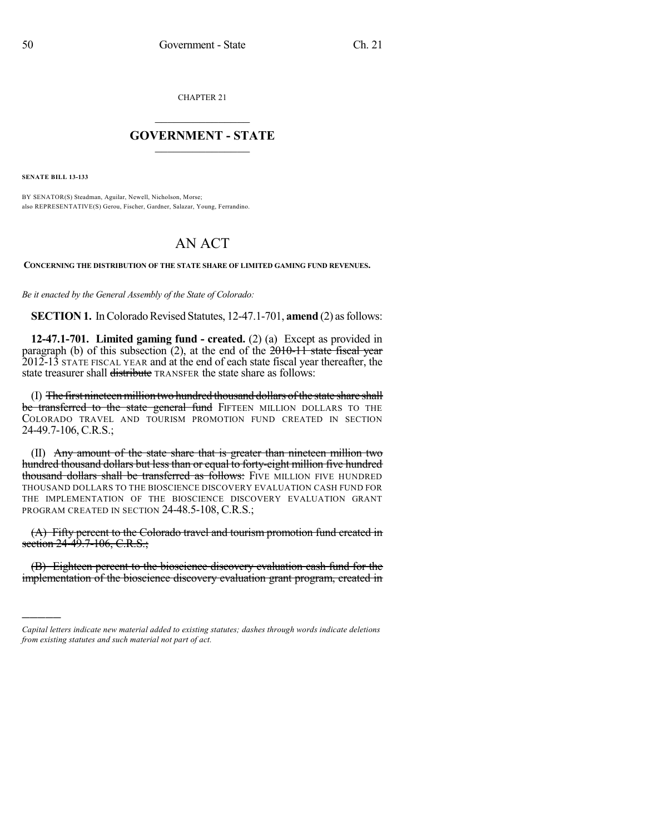CHAPTER 21

## $\overline{\phantom{a}}$  . The set of the set of the set of the set of the set of the set of the set of the set of the set of the set of the set of the set of the set of the set of the set of the set of the set of the set of the set o **GOVERNMENT - STATE**  $\_$

**SENATE BILL 13-133**

)))))

BY SENATOR(S) Steadman, Aguilar, Newell, Nicholson, Morse; also REPRESENTATIVE(S) Gerou, Fischer, Gardner, Salazar, Young, Ferrandino.

## AN ACT

**CONCERNING THE DISTRIBUTION OF THE STATE SHARE OF LIMITED GAMING FUND REVENUES.**

*Be it enacted by the General Assembly of the State of Colorado:*

**SECTION 1.** In Colorado Revised Statutes, 12-47.1-701, **amend** (2) as follows:

**12-47.1-701. Limited gaming fund - created.** (2) (a) Except as provided in paragraph (b) of this subsection (2), at the end of the  $2010-11$  state fiscal year 2012-13 STATE FISCAL YEAR and at the end of each state fiscal year thereafter, the state treasurer shall <del>distribute</del> TRANSFER the state share as follows:

(I) The first nineteen million two hundred thousand dollars of the state share shall be transferred to the state general fund FIFTEEN MILLION DOLLARS TO THE COLORADO TRAVEL AND TOURISM PROMOTION FUND CREATED IN SECTION 24-49.7-106, C.R.S.;

(II) Any amount of the state share that is greater than nineteen million two hundred thousand dollars but less than or equal to forty-eight million five hundred thousand dollars shall be transferred as follows: FIVE MILLION FIVE HUNDRED THOUSAND DOLLARS TO THE BIOSCIENCE DISCOVERY EVALUATION CASH FUND FOR THE IMPLEMENTATION OF THE BIOSCIENCE DISCOVERY EVALUATION GRANT PROGRAM CREATED IN SECTION 24-48.5-108, C.R.S.;

(A) Fifty percent to the Colorado travel and tourism promotion fund created in section 24-49.7-106, C.R.S.;

(B) Eighteen percent to the bioscience discovery evaluation cash fund for the implementation of the bioscience discovery evaluation grant program, created in

*Capital letters indicate new material added to existing statutes; dashes through words indicate deletions from existing statutes and such material not part of act.*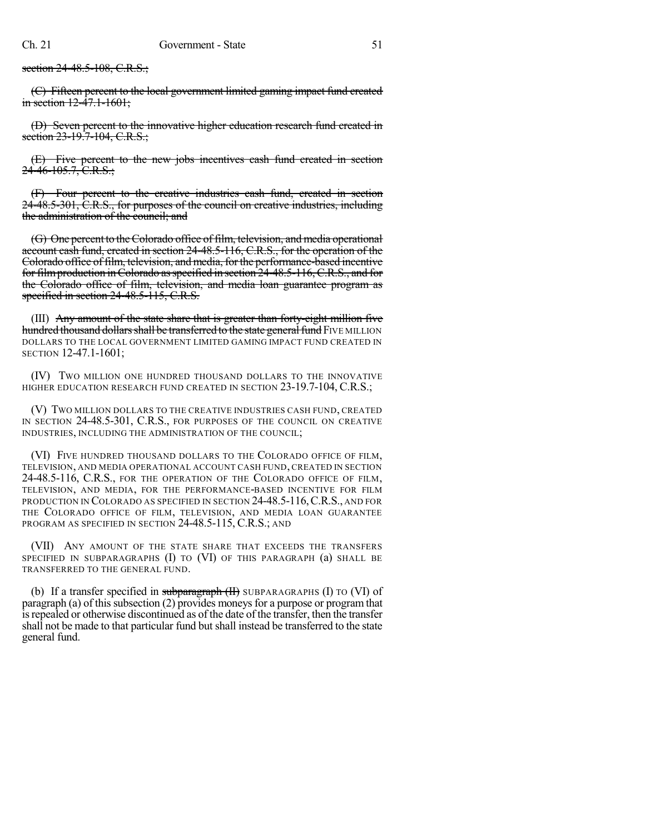section 24-48.5-108, C.R.S.;

(C) Fifteen percent to the local government limited gaming impact fund created in section  $12-47.1-1601$ ;

(D) Seven percent to the innovative higher education research fund created in section 23-19.7-104, C.R.S.;

(E) Five percent to the new jobs incentives cash fund created in section  $24-46-105.7$ , C.R.S.;

(F) Four percent to the creative industries cash fund, created in section 24-48.5-301, C.R.S., for purposes of the council on creative industries, including the administration of the council; and

(G) One percent to theColorado office of film, television, and media operational account cash fund, created in section 24-48.5-116, C.R.S., for the operation of the Colorado office of film, television, and media, for the performance-based incentive for filmproduction inColorado asspecified in section 24-48.5-116,C.R.S., and for the Colorado office of film, television, and media loan guarantee program as specified in section 24-48.5-115, C.R.S.

(III) Any amount of the state share that is greater than forty-eight million five hundred thousand dollars shall be transferred to the state general fund FIVE MILLION DOLLARS TO THE LOCAL GOVERNMENT LIMITED GAMING IMPACT FUND CREATED IN SECTION 12-47.1-1601;

(IV) TWO MILLION ONE HUNDRED THOUSAND DOLLARS TO THE INNOVATIVE HIGHER EDUCATION RESEARCH FUND CREATED IN SECTION 23-19.7-104, C.R.S.;

(V) TWO MILLION DOLLARS TO THE CREATIVE INDUSTRIES CASH FUND, CREATED IN SECTION 24-48.5-301, C.R.S., FOR PURPOSES OF THE COUNCIL ON CREATIVE INDUSTRIES, INCLUDING THE ADMINISTRATION OF THE COUNCIL;

(VI) FIVE HUNDRED THOUSAND DOLLARS TO THE COLORADO OFFICE OF FILM, TELEVISION, AND MEDIA OPERATIONAL ACCOUNT CASH FUND, CREATED IN SECTION 24-48.5-116, C.R.S., FOR THE OPERATION OF THE COLORADO OFFICE OF FILM, TELEVISION, AND MEDIA, FOR THE PERFORMANCE-BASED INCENTIVE FOR FILM PRODUCTION IN COLORADO AS SPECIFIED IN SECTION 24-48.5-116, C.R.S., AND FOR THE COLORADO OFFICE OF FILM, TELEVISION, AND MEDIA LOAN GUARANTEE PROGRAM AS SPECIFIED IN SECTION 24-48.5-115, C.R.S.; AND

(VII) ANY AMOUNT OF THE STATE SHARE THAT EXCEEDS THE TRANSFERS SPECIFIED IN SUBPARAGRAPHS (I) TO (VI) OF THIS PARAGRAPH (a) SHALL BE TRANSFERRED TO THE GENERAL FUND.

(b) If a transfer specified in subparagraph  $(H)$  SUBPARAGRAPHS (I) TO (VI) of paragraph (a) of this subsection  $(2)$  provides moneys for a purpose or program that isrepealed or otherwise discontinued as of the date of the transfer, then the transfer shall not be made to that particular fund but shall instead be transferred to the state general fund.